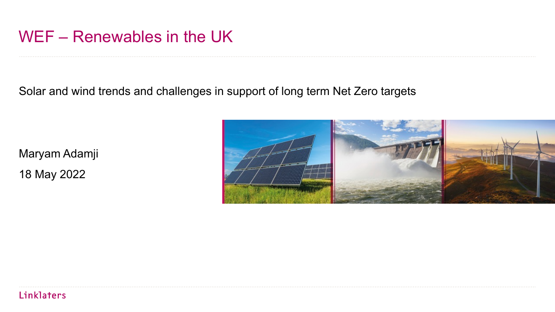## WEF – Renewables in the UK

Solar and wind trends and challenges in support of long term Net Zero targets

Maryam Adamji 18 May 2022

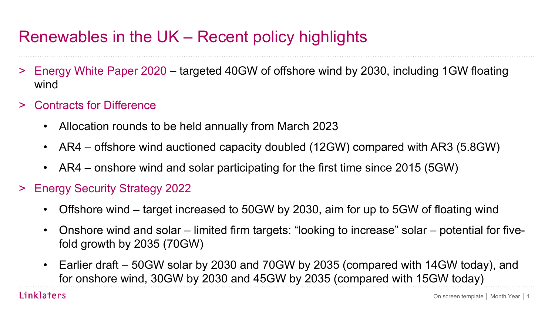# Renewables in the UK – Recent policy highlights

- > Energy White Paper 2020 targeted 40GW of offshore wind by 2030, including 1GW floating wind
- > Contracts for Difference
	- Allocation rounds to be held annually from March 2023
	- AR4 offshore wind auctioned capacity doubled (12GW) compared with AR3 (5.8GW)
	- AR4 onshore wind and solar participating for the first time since 2015 (5GW)
- > Energy Security Strategy 2022
	- Offshore wind target increased to 50GW by 2030, aim for up to 5GW of floating wind
	- Onshore wind and solar limited firm targets: "looking to increase" solar potential for fivefold growth by 2035 (70GW)
	- Earlier draft 50GW solar by 2030 and 70GW by 2035 (compared with 14GW today), and for onshore wind, 30GW by 2030 and 45GW by 2035 (compared with 15GW today)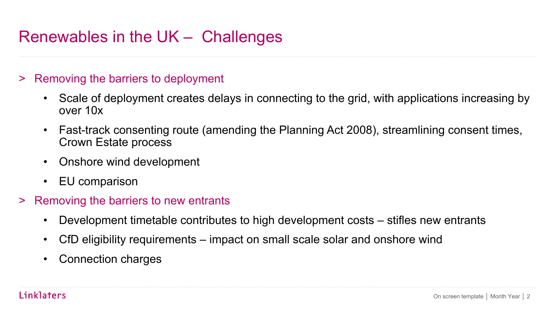# Renewables in the UK – Challenges

#### > Removing the barriers to deployment

- Scale of deployment creates delays in connecting to the grid, with applications increasing by over 10x
- Fast-track consenting route (amending the Planning Act 2008), streamlining consent times, Crown Estate process
- Onshore wind development
- EU comparison
- > Removing the barriers to new entrants
	- Development timetable contributes to high development costs stifles new entrants
	- CfD eligibility requirements impact on small scale solar and onshore wind
	- Connection charges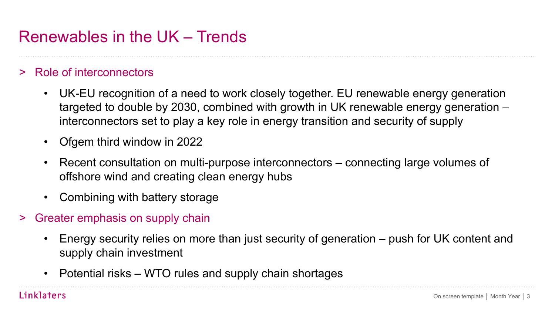## Renewables in the UK – Trends

### > Role of interconnectors

- UK-EU recognition of a need to work closely together. EU renewable energy generation targeted to double by 2030, combined with growth in UK renewable energy generation – interconnectors set to play a key role in energy transition and security of supply
- Ofgem third window in 2022
- Recent consultation on multi-purpose interconnectors connecting large volumes of offshore wind and creating clean energy hubs
- Combining with battery storage
- Greater emphasis on supply chain
	- Energy security relies on more than just security of generation push for UK content and supply chain investment
	- Potential risks WTO rules and supply chain shortages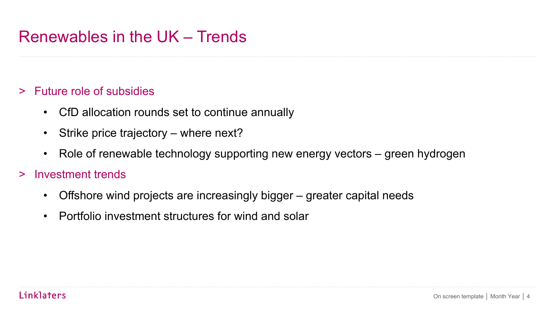## Renewables in the UK – Trends

### > Future role of subsidies

- CfD allocation rounds set to continue annually
- Strike price trajectory where next?
- Role of renewable technology supporting new energy vectors green hydrogen

#### > Investment trends

- Offshore wind projects are increasingly bigger greater capital needs
- Portfolio investment structures for wind and solar